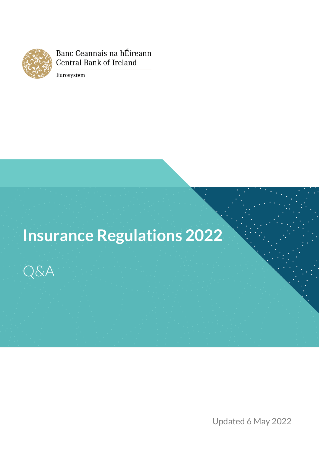

Banc Ceannais na hÉireann **Central Bank of Ireland** 

Eurosystem

# **Insurance Regulations 2022**



Month Year Updated 6 May 2022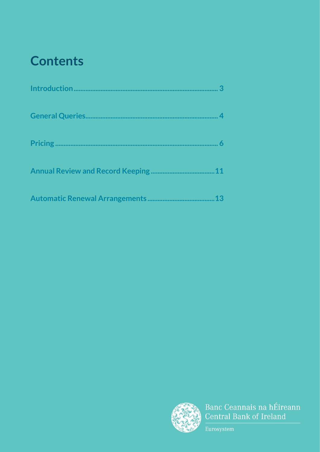## **Contents**



Banc Ceannais na hÉireann Central Bank of Ireland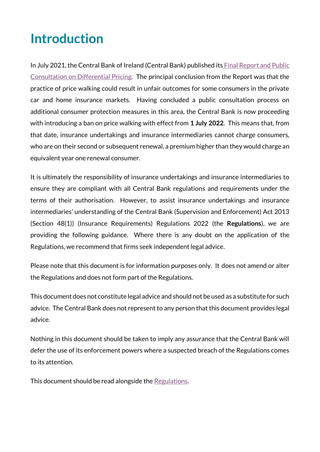## <span id="page-2-0"></span>**Introduction**

In July 2021, the Central Bank of Ireland (Central Bank) published its Final Report and Public [Consultation on Differential Pricing.](https://www.centralbank.ie/docs/default-source/publications/consultation-papers/cp143/differential-pricing-review---final-report-and-public-consultation.pdf?sfvrsn=5) The principal conclusion from the Report was that the practice of price walking could result in unfair outcomes for some consumers in the private car and home insurance markets. Having concluded a public consultation process on additional consumer protection measures in this area, the Central Bank is now proceeding with introducing a ban on price walking with effect from **1 July 2022**. This means that, from that date, insurance undertakings and insurance intermediaries cannot charge consumers, who are on their second or subsequent renewal, a premium higher than they would charge an equivalent year one renewal consumer.

It is ultimately the responsibility of insurance undertakings and insurance intermediaries to ensure they are compliant with all Central Bank regulations and requirements under the terms of their authorisation. However, to assist insurance undertakings and insurance intermediaries' understanding of the Central Bank (Supervision and Enforcement) Act 2013 (Section 48(1)) (Insurance Requirements) Regulations 2022 (the **Regulations**), we are providing the following guidance. Where there is any doubt on the application of the Regulations, we recommend that firms seek independent legal advice.

Please note that this document is for information purposes only. It does not amend or alter the Regulations and does not form part of the Regulations.

This document does not constitute legal advice and should not be used as a substitute for such advice. The Central Bank does not represent to any person that this document provides legal advice.

Nothing in this document should be taken to imply any assurance that the Central Bank will defer the use of its enforcement powers where a suspected breach of the Regulations comes to its attention.

This document should be read alongside the [Regulations.](https://www.centralbank.ie/docs/default-source/regulation/consumer-protection/other-codes-of-conduct/insurance-regulations-requirements-2022.pdf?sfvrsn=6)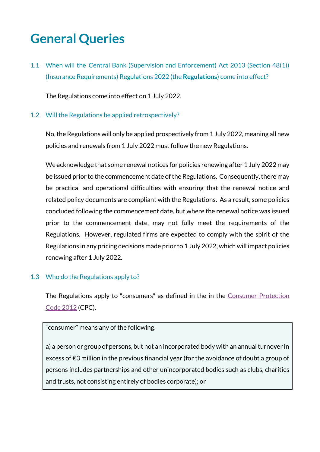## <span id="page-3-0"></span>**General Queries**

1.1 When will the Central Bank (Supervision and Enforcement) Act 2013 (Section 48(1)) (Insurance Requirements) Regulations 2022 (the **Regulations**) come into effect?

The Regulations come into effect on 1 July 2022.

#### 1.2 Will the Regulations be applied retrospectively?

No,the Regulations will only be applied prospectively from 1 July 2022, meaning all new policies and renewals from 1 July 2022 must follow the new Regulations.

We acknowledge that some renewal notices for policies renewing after 1 July 2022 may be issued prior to the commencement date of the Regulations. Consequently, there may be practical and operational difficulties with ensuring that the renewal notice and related policy documents are compliant with the Regulations. As a result, some policies concluded following the commencement date, but where the renewal notice was issued prior to the commencement date, may not fully meet the requirements of the Regulations. However, regulated firms are expected to comply with the spirit of the Regulations in any pricing decisions made prior to 1 July 2022, which will impact policies renewing after 1 July 2022.

#### 1.3 Who do the Regulations apply to?

The Regulations apply to "consumers" as defined in the in the Consumer Protection [Code 2012](https://www.centralbank.ie/docs/default-source/Regulation/consumer-protection/other-codes-of-conduct/unofficial-consolidation-of-the-consumer-protection-code.pdf) (CPC).

#### "consumer" means any of the following:

a) a person or group of persons, but not an incorporated body with an annual turnover in excess of €3 million in the previous financial year (for the avoidance of doubt a group of persons includes partnerships and other unincorporated bodies such as clubs, charities and trusts, not consisting entirely of bodies corporate); or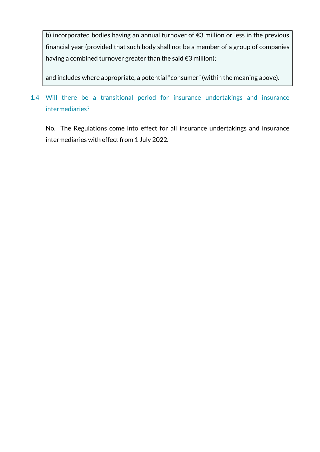b) incorporated bodies having an annual turnover of €3 million or less in the previous financial year (provided that such body shall not be a member of a group of companies having a combined turnover greater than the said €3 million);

and includes where appropriate, a potential "consumer" (within the meaning above).

### 1.4 Will there be a transitional period for insurance undertakings and insurance intermediaries?

No. The Regulations come into effect for all insurance undertakings and insurance intermediaries with effect from 1 July 2022.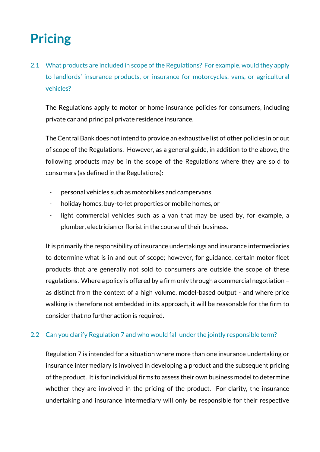## <span id="page-5-0"></span>**Pricing**

2.1 What products are included in scope of the Regulations? For example, would they apply to landlords' insurance products, or insurance for motorcycles, vans, or agricultural vehicles?

The Regulations apply to motor or home insurance policies for consumers, including private car and principal private residence insurance.

The Central Bank does not intend to provide an exhaustive list of other policies in or out of scope of the Regulations. However, as a general guide, in addition to the above, the following products may be in the scope of the Regulations where they are sold to consumers (as defined in the Regulations):

- personal vehicles such as motorbikes and campervans,
- holiday homes, buy-to-let properties or mobile homes, or
- light commercial vehicles such as a van that may be used by, for example, a plumber, electrician or florist in the course of their business.

It is primarily the responsibility of insurance undertakings and insurance intermediaries to determine what is in and out of scope; however, for guidance, certain motor fleet products that are generally not sold to consumers are outside the scope of these regulations. Where a policy is offered by a firm only through a commercial negotiation – as distinct from the context of a high volume, model-based output - and where price walking is therefore not embedded in its approach, it will be reasonable for the firm to consider that no further action is required.

#### 2.2 Can you clarify Regulation 7 and who would fall under the jointly responsible term?

Regulation 7 is intended for a situation where more than one insurance undertaking or insurance intermediary is involved in developing a product and the subsequent pricing of the product. It is for individual firms to assess their own business model to determine whether they are involved in the pricing of the product. For clarity, the insurance undertaking and insurance intermediary will only be responsible for their respective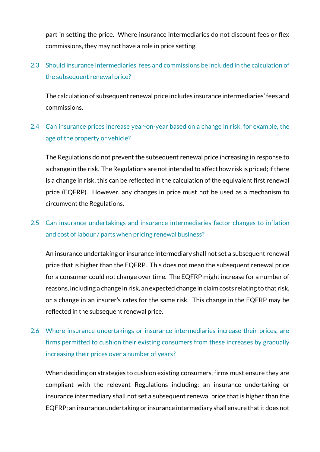part in setting the price. Where insurance intermediaries do not discount fees or flex commissions, they may not have a role in price setting.

### 2.3 Should insurance intermediaries' fees and commissions be included in the calculation of the subsequent renewal price?

The calculation of subsequent renewal price includes insurance intermediaries' fees and commissions.

#### 2.4 Can insurance prices increase year-on-year based on a change in risk, for example, the age of the property or vehicle?

The Regulations do not prevent the subsequent renewal price increasing in response to a change in the risk. The Regulations are not intended to affect how risk is priced; if there is a change in risk, this can be reflected in the calculation of the equivalent first renewal price (EQFRP). However, any changes in price must not be used as a mechanism to circumvent the Regulations.

### 2.5 Can insurance undertakings and insurance intermediaries factor changes to inflation and cost of labour / parts when pricing renewal business?

An insurance undertaking or insurance intermediary shall not set a subsequent renewal price that is higher than the EQFRP. This does not mean the subsequent renewal price for a consumer could not change over time. The EQFRP might increase for a number of reasons, including a change in risk, an expected change in claim costs relating to that risk, or a change in an insurer's rates for the same risk. This change in the EQFRP may be reflected in the subsequent renewal price.

## 2.6 Where insurance undertakings or insurance intermediaries increase their prices, are firms permitted to cushion their existing consumers from these increases by gradually increasing their prices over a number of years?

When deciding on strategies to cushion existing consumers, firms must ensure they are compliant with the relevant Regulations including: an insurance undertaking or insurance intermediary shall not set a subsequent renewal price that is higher than the EQFRP; an insurance undertaking or insurance intermediary shall ensure that it does not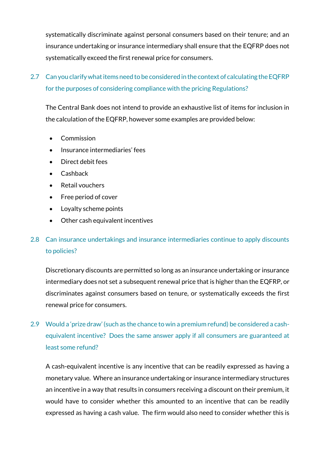systematically discriminate against personal consumers based on their tenure; and an insurance undertaking or insurance intermediary shall ensure that the EQFRP does not systematically exceed the first renewal price for consumers.

### 2.7 Can you clarify what items need to be considered in the context of calculating the EQFRP for the purposes of considering compliance with the pricing Regulations?

The Central Bank does not intend to provide an exhaustive list of items for inclusion in the calculation of the EQFRP, however some examples are provided below:

- Commission
- Insurance intermediaries' fees
- Direct debit fees
- Cashback
- Retail vouchers
- Free period of cover
- Loyalty scheme points
- Other cash equivalent incentives

### 2.8 Can insurance undertakings and insurance intermediaries continue to apply discounts to policies?

Discretionary discounts are permitted so long as an insurance undertaking or insurance intermediary does not set a subsequent renewal price that is higher than the EQFRP, or discriminates against consumers based on tenure, or systematically exceeds the first renewal price for consumers.

## 2.9 Would a 'prize draw' (such as the chance to win a premium refund) be considered a cashequivalent incentive? Does the same answer apply if all consumers are guaranteed at least some refund?

A cash-equivalent incentive is any incentive that can be readily expressed as having a monetary value. Where an insurance undertaking or insurance intermediary structures an incentive in a way that results in consumers receiving a discount on their premium, it would have to consider whether this amounted to an incentive that can be readily expressed as having a cash value. The firm would also need to consider whether this is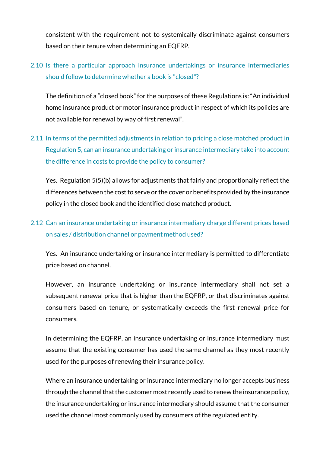consistent with the requirement not to systemically discriminate against consumers based on their tenure when determining an EQFRP.

### 2.10 Is there a particular approach insurance undertakings or insurance intermediaries should follow to determine whether a book is "closed"?

The definition of a "closed book" for the purposes of these Regulations is: "An individual home insurance product or motor insurance product in respect of which its policies are not available for renewal by way of first renewal".

2.11 In terms of the permitted adjustments in relation to pricing a close matched product in Regulation 5, can an insurance undertaking or insurance intermediary take into account the difference in costs to provide the policy to consumer?

Yes. Regulation 5(5)(b) allows for adjustments that fairly and proportionally reflect the differences between the cost to serve or the cover or benefits provided by the insurance policy in the closed book and the identified close matched product.

#### 2.12 Can an insurance undertaking or insurance intermediary charge different prices based on sales / distribution channel or payment method used?

Yes. An insurance undertaking or insurance intermediary is permitted to differentiate price based on channel.

However, an insurance undertaking or insurance intermediary shall not set a subsequent renewal price that is higher than the EQFRP, or that discriminates against consumers based on tenure, or systematically exceeds the first renewal price for consumers.

In determining the EQFRP, an insurance undertaking or insurance intermediary must assume that the existing consumer has used the same channel as they most recently used for the purposes of renewing their insurance policy.

Where an insurance undertaking or insurance intermediary no longer accepts business through the channel that the customer most recently used to renew the insurance policy, the insurance undertaking or insurance intermediary should assume that the consumer used the channel most commonly used by consumers of the regulated entity.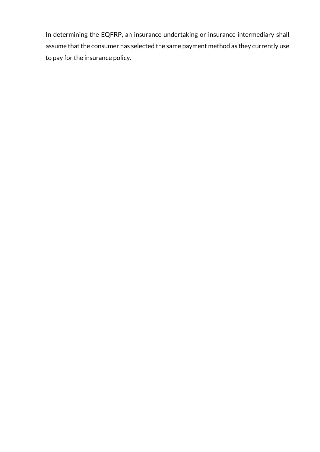In determining the EQFRP, an insurance undertaking or insurance intermediary shall assume that the consumer has selected the same payment method as they currently use to pay for the insurance policy.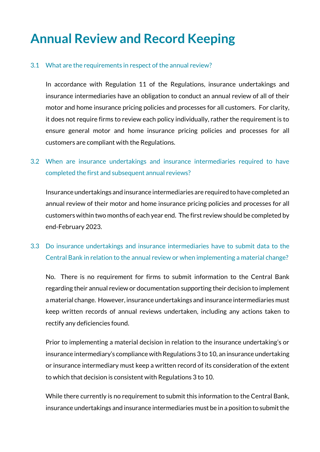## <span id="page-10-0"></span>**Annual Review and Record Keeping**

#### 3.1 What are the requirements in respect of the annual review?

In accordance with Regulation 11 of the Regulations, insurance undertakings and insurance intermediaries have an obligation to conduct an annual review of all of their motor and home insurance pricing policies and processes for all customers. For clarity, it does not require firms to review each policy individually, rather the requirement is to ensure general motor and home insurance pricing policies and processes for all customers are compliant with the Regulations.

#### 3.2 When are insurance undertakings and insurance intermediaries required to have completed the first and subsequent annual reviews?

Insurance undertakings and insurance intermediaries are required to have completed an annual review of their motor and home insurance pricing policies and processes for all customers within two months of each year end. The first review should be completed by end-February 2023.

#### 3.3 Do insurance undertakings and insurance intermediaries have to submit data to the Central Bank in relation to the annual review or when implementing a material change?

No. There is no requirement for firms to submit information to the Central Bank regarding their annual review or documentation supporting their decision to implement a material change. However, insurance undertakings and insurance intermediaries must keep written records of annual reviews undertaken, including any actions taken to rectify any deficiencies found.

Prior to implementing a material decision in relation to the insurance undertaking's or insurance intermediary's compliance with Regulations 3 to 10, an insurance undertaking or insurance intermediary must keep a written record of its consideration of the extent to which that decision is consistent with Regulations 3 to 10.

While there currently is no requirement to submit this information to the Central Bank, insurance undertakings and insurance intermediaries must be in a position to submit the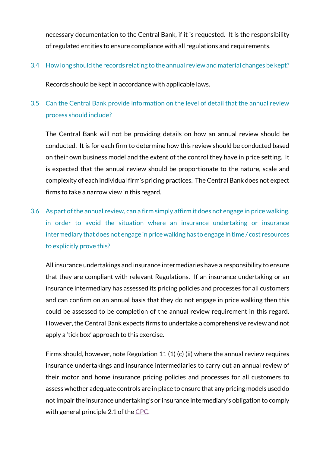necessary documentation to the Central Bank, if it is requested. It is the responsibility of regulated entities to ensure compliance with all regulations and requirements.

3.4 How long should the records relating to the annual review and material changes be kept?

Records should be kept in accordance with applicable laws.

### 3.5 Can the Central Bank provide information on the level of detail that the annual review process should include?

The Central Bank will not be providing details on how an annual review should be conducted. It is for each firm to determine how this review should be conducted based on their own business model and the extent of the control they have in price setting. It is expected that the annual review should be proportionate to the nature, scale and complexity of each individual firm's pricing practices. The Central Bank does not expect firms to take a narrow view in this regard.

3.6 As part of the annual review, can a firm simply affirm it does not engage in price walking, in order to avoid the situation where an insurance undertaking or insurance intermediary that does not engage in price walking has to engage in time / cost resources to explicitly prove this?

All insurance undertakings and insurance intermediaries have a responsibility to ensure that they are compliant with relevant Regulations. If an insurance undertaking or an insurance intermediary has assessed its pricing policies and processes for all customers and can confirm on an annual basis that they do not engage in price walking then this could be assessed to be completion of the annual review requirement in this regard. However, the Central Bank expects firms to undertake a comprehensive review and not apply a 'tick box' approach to this exercise.

Firms should, however, note Regulation 11 (1) (c) (ii) where the annual review requires insurance undertakings and insurance intermediaries to carry out an annual review of their motor and home insurance pricing policies and processes for all customers to assess whether adequate controls are in place to ensure that any pricing models used do not impair the insurance undertaking's or insurance intermediary's obligation to comply with general principle 2.1 of the [CPC.](https://www.centralbank.ie/docs/default-source/Regulation/consumer-protection/other-codes-of-conduct/unofficial-consolidation-of-the-consumer-protection-code.pdf)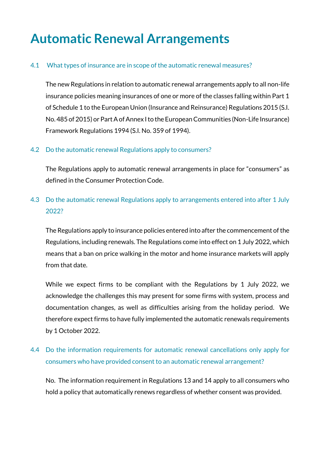## <span id="page-12-0"></span>**Automatic Renewal Arrangements**

#### 4.1 What types of insurance are in scope of the automatic renewal measures?

The new Regulations in relation to automatic renewal arrangements apply to all non-life insurance policies meaning insurances of one or more of the classes falling within Part 1 of Schedule 1 to the European Union (Insurance and Reinsurance) Regulations 2015 (S.I. No. 485 of 2015) or Part A of Annex I to the European Communities (Non-Life Insurance) Framework Regulations 1994 (S.I. No. 359 of 1994).

#### 4.2 Do the automatic renewal Regulations apply to consumers?

The Regulations apply to automatic renewal arrangements in place for "consumers" as defined in the Consumer Protection Code.

#### 4.3 Do the automatic renewal Regulations apply to arrangements entered into after 1 July 2022?

The Regulations apply to insurance policies entered into after the commencement of the Regulations, including renewals. The Regulations come into effect on 1 July 2022, which means that a ban on price walking in the motor and home insurance markets will apply from that date.

While we expect firms to be compliant with the Regulations by 1 July 2022, we acknowledge the challenges this may present for some firms with system, process and documentation changes, as well as difficulties arising from the holiday period. We therefore expect firms to have fully implemented the automatic renewals requirements by 1 October 2022.

#### 4.4 Do the information requirements for automatic renewal cancellations only apply for consumers who have provided consent to an automatic renewal arrangement?

No. The information requirement in Regulations 13 and 14 apply to all consumers who hold a policy that automatically renews regardless of whether consent was provided.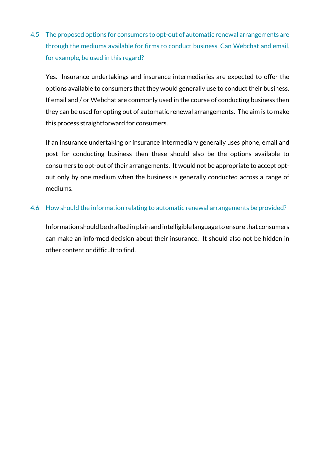4.5 The proposed options for consumers to opt-out of automatic renewal arrangements are through the mediums available for firms to conduct business. Can Webchat and email, for example, be used in this regard?

Yes. Insurance undertakings and insurance intermediaries are expected to offer the options available to consumers that they would generally use to conduct their business. If email and / or Webchat are commonly used in the course of conducting business then they can be used for opting out of automatic renewal arrangements. The aim is to make this process straightforward for consumers.

If an insurance undertaking or insurance intermediary generally uses phone, email and post for conducting business then these should also be the options available to consumers to opt-out of their arrangements. It would not be appropriate to accept optout only by one medium when the business is generally conducted across a range of mediums.

#### 4.6 How should the information relating to automatic renewal arrangements be provided?

Information should be drafted in plain and intelligible language to ensure that consumers can make an informed decision about their insurance. It should also not be hidden in other content or difficult to find.